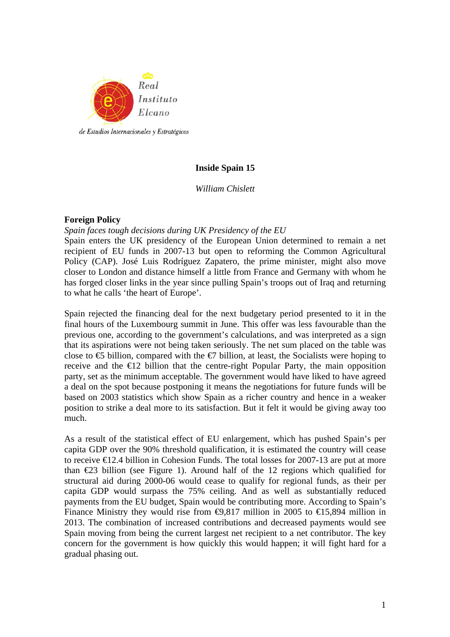

# **Inside Spain 15**

*William Chislett* 

## **Foreign Policy**

*Spain faces tough decisions during UK Presidency of the EU* 

Spain enters the UK presidency of the European Union determined to remain a net recipient of EU funds in 2007-13 but open to reforming the Common Agricultural Policy (CAP). José Luis Rodríguez Zapatero, the prime minister, might also move closer to London and distance himself a little from France and Germany with whom he has forged closer links in the year since pulling Spain's troops out of Iraq and returning to what he calls 'the heart of Europe'.

Spain rejected the financing deal for the next budgetary period presented to it in the final hours of the Luxembourg summit in June. This offer was less favourable than the previous one, according to the government's calculations, and was interpreted as a sign that its aspirations were not being taken seriously. The net sum placed on the table was close to  $\epsilon$ 5 billion, compared with the  $\epsilon$ 7 billion, at least, the Socialists were hoping to receive and the  $E_1$ 2 billion that the centre-right Popular Party, the main opposition party, set as the minimum acceptable. The government would have liked to have agreed a deal on the spot because postponing it means the negotiations for future funds will be based on 2003 statistics which show Spain as a richer country and hence in a weaker position to strike a deal more to its satisfaction. But it felt it would be giving away too much.

As a result of the statistical effect of EU enlargement, which has pushed Spain's per capita GDP over the 90% threshold qualification, it is estimated the country will cease to receive  $\epsilon$  2.4 billion in Cohesion Funds. The total losses for 2007-13 are put at more than  $E$ 3 billion (see Figure 1). Around half of the 12 regions which qualified for structural aid during 2000-06 would cease to qualify for regional funds, as their per capita GDP would surpass the 75% ceiling. And as well as substantially reduced payments from the EU budget, Spain would be contributing more. According to Spain's Finance Ministry they would rise from  $\Theta$ ,817 million in 2005 to  $\Theta$ 5,894 million in 2013. The combination of increased contributions and decreased payments would see Spain moving from being the current largest net recipient to a net contributor. The key concern for the government is how quickly this would happen; it will fight hard for a gradual phasing out.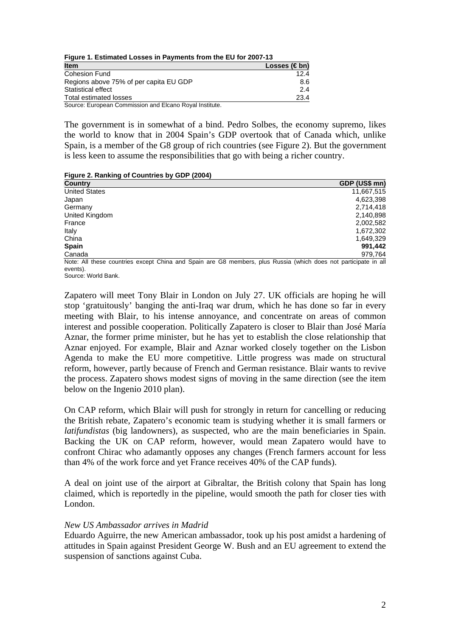**Figure 1. Estimated Losses in Payments from the EU for 2007-13**

| <b>Item</b>                                             | Losses (€bn) |
|---------------------------------------------------------|--------------|
| <b>Cohesion Fund</b>                                    | 12.4         |
| Regions above 75% of per capita EU GDP                  | 8.6          |
| Statistical effect                                      | 2.4          |
| Total estimated losses                                  | 23.4         |
| Source: European Commission and Elcano Royal Institute. |              |

The government is in somewhat of a bind. Pedro Solbes, the economy supremo, likes the world to know that in 2004 Spain's GDP overtook that of Canada which, unlike Spain, is a member of the G8 group of rich countries (see Figure 2). But the government is less keen to assume the responsibilities that go with being a richer country.

|  |  | Figure 2. Ranking of Countries by GDP (2004) |  |  |
|--|--|----------------------------------------------|--|--|
|  |  |                                              |  |  |

| <b>Country</b>       | GDP (US\$ mn) |
|----------------------|---------------|
| <b>United States</b> | 11,667,515    |
| Japan                | 4,623,398     |
| Germany              | 2,714,418     |
| United Kingdom       | 2,140,898     |
| France               | 2,002,582     |
| Italy                | 1,672,302     |
| China                | 1,649,329     |
| <b>Spain</b>         | 991,442       |
| Canada               | 979,764       |

Note: All these countries except China and Spain are G8 members, plus Russia (which does not participate in all events).

Source: World Bank.

Zapatero will meet Tony Blair in London on July 27. UK officials are hoping he will stop 'gratuitously' banging the anti-Iraq war drum, which he has done so far in every meeting with Blair, to his intense annoyance, and concentrate on areas of common interest and possible cooperation. Politically Zapatero is closer to Blair than José María Aznar, the former prime minister, but he has yet to establish the close relationship that Aznar enjoyed. For example, Blair and Aznar worked closely together on the Lisbon Agenda to make the EU more competitive. Little progress was made on structural reform, however, partly because of French and German resistance. Blair wants to revive the process. Zapatero shows modest signs of moving in the same direction (see the item below on the Ingenio 2010 plan).

On CAP reform, which Blair will push for strongly in return for cancelling or reducing the British rebate, Zapatero's economic team is studying whether it is small farmers or *latifundistas* (big landowners), as suspected, who are the main beneficiaries in Spain. Backing the UK on CAP reform, however, would mean Zapatero would have to confront Chirac who adamantly opposes any changes (French farmers account for less than 4% of the work force and yet France receives 40% of the CAP funds).

A deal on joint use of the airport at Gibraltar, the British colony that Spain has long claimed, which is reportedly in the pipeline, would smooth the path for closer ties with London.

## *New US Ambassador arrives in Madrid*

Eduardo Aguirre, the new American ambassador, took up his post amidst a hardening of attitudes in Spain against President George W. Bush and an EU agreement to extend the suspension of sanctions against Cuba.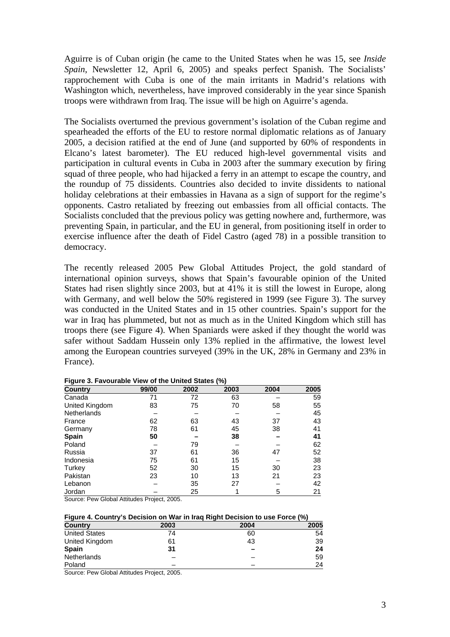Aguirre is of Cuban origin (he came to the United States when he was 15, see *Inside Spain*, Newsletter 12, April 6, 2005) and speaks perfect Spanish. The Socialists' rapprochement with Cuba is one of the main irritants in Madrid's relations with Washington which, nevertheless, have improved considerably in the year since Spanish troops were withdrawn from Iraq. The issue will be high on Aguirre's agenda.

The Socialists overturned the previous government's isolation of the Cuban regime and spearheaded the efforts of the EU to restore normal diplomatic relations as of January 2005, a decision ratified at the end of June (and supported by 60% of respondents in Elcano's latest barometer). The EU reduced high-level governmental visits and participation in cultural events in Cuba in 2003 after the summary execution by firing squad of three people, who had hijacked a ferry in an attempt to escape the country, and the roundup of 75 dissidents. Countries also decided to invite dissidents to national holiday celebrations at their embassies in Havana as a sign of support for the regime's opponents. Castro retaliated by freezing out embassies from all official contacts. The Socialists concluded that the previous policy was getting nowhere and, furthermore, was preventing Spain, in particular, and the EU in general, from positioning itself in order to exercise influence after the death of Fidel Castro (aged 78) in a possible transition to democracy.

The recently released 2005 Pew Global Attitudes Project, the gold standard of international opinion surveys, shows that Spain's favourable opinion of the United States had risen slightly since 2003, but at 41% it is still the lowest in Europe, along with Germany, and well below the 50% registered in 1999 (see Figure 3). The survey was conducted in the United States and in 15 other countries. Spain's support for the war in Iraq has plummeted, but not as much as in the United Kingdom which still has troops there (see Figure 4). When Spaniards were asked if they thought the world was safer without Saddam Hussein only 13% replied in the affirmative, the lowest level among the European countries surveyed (39% in the UK, 28% in Germany and 23% in France).

| <b>Country</b>     | 99/00 | 2002 | 2003 | 2004 | 2005 |
|--------------------|-------|------|------|------|------|
| Canada             | 71    | 72   | 63   |      | 59   |
| United Kingdom     | 83    | 75   | 70   | 58   | 55   |
| <b>Netherlands</b> |       |      |      |      | 45   |
| France             | 62    | 63   | 43   | 37   | 43   |
| Germany            | 78    | 61   | 45   | 38   | 41   |
| Spain              | 50    |      | 38   |      | 41   |
| Poland             |       | 79   |      |      | 62   |
| Russia             | 37    | 61   | 36   | 47   | 52   |
| Indonesia          | 75    | 61   | 15   |      | 38   |
| Turkey             | 52    | 30   | 15   | 30   | 23   |
| Pakistan           | 23    | 10   | 13   | 21   | 23   |
| Lebanon            |       | 35   | 27   |      | 42   |
| Jordan             |       | 25   |      | 5    | 21   |

**Figure 3. Favourable View of the United States (%)** 

Source: Pew Global Attitudes Project, 2005.

| Figure 4. Country's Decision on War in Iraq Right Decision to use Force (%) |
|-----------------------------------------------------------------------------|
|-----------------------------------------------------------------------------|

| <b>Country</b>                                                                         | 2003                   | 2004 | 2005 |
|----------------------------------------------------------------------------------------|------------------------|------|------|
| <b>United States</b>                                                                   | 74                     | 60   | 54   |
| United Kingdom                                                                         | 61                     | 43   | 39   |
| <b>Spain</b>                                                                           | 31                     |      | 24   |
| <b>Netherlands</b>                                                                     |                        |      | 59   |
| Poland                                                                                 |                        |      | 24   |
| $\sim$ $\sim$ $\sim$ $\sim$ $\sim$ $\sim$ $\sim$<br>$\sim$<br>$\overline{\phantom{0}}$ | $ -$<br>$\sim$<br>$ -$ |      |      |

Source: Pew Global Attitudes Project, 2005.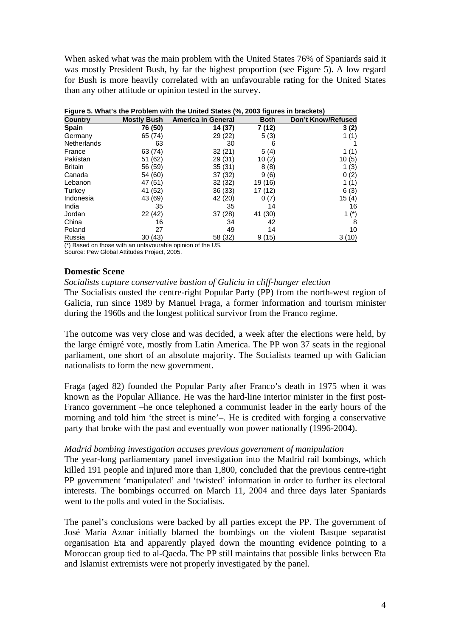When asked what was the main problem with the United States 76% of Spaniards said it was mostly President Bush, by far the highest proportion (see Figure 5). A low regard for Bush is more heavily correlated with an unfavourable rating for the United States than any other attitude or opinion tested in the survey.

| <b>Country</b>     | <b>Mostly Bush</b> | <b>America in General</b> | <b>Both</b> | Don't Know/Refused |
|--------------------|--------------------|---------------------------|-------------|--------------------|
| Spain              | 76 (50)            | 14 (37)                   | 7 (12)      | 3(2)               |
| Germany            | 65 (74)            | 29 (22)                   | 5(3)        | 1 (1)              |
| <b>Netherlands</b> | 63                 | 30                        | 6           |                    |
| France             | 63 (74)            | 32(21)                    | 5(4)        | 1 (1)              |
| Pakistan           | 51 (62)            | 29 (31)                   | 10(2)       | 10(5)              |
| <b>Britain</b>     | 56 (59)            | 35(31)                    | 8(8)        | 1(3)               |
| Canada             | 54 (60)            | 37 (32)                   | 9(6)        | 0(2)               |
| Lebanon            | 47 (51)            | 32 (32)                   | 19 (16)     | 1(1)               |
| Turkey             | 41 (52)            | 36 (33)                   | 17 (12)     | 6(3)               |
| Indonesia          | 43 (69)            | 42 (20)                   | 0(7)        | 15(4)              |
| India              | 35                 | 35                        | 14          | 16                 |
| Jordan             | 22 (42)            | 37 (28)                   | 41 (30)     | 1 $(*)$            |
| China              | 16                 | 34                        | 42          | 8                  |
| Poland             | 27                 | 49                        | 14          | 10                 |
| Russia             | 30(43)             | 58 (32)                   | 9(15)       | 3(10)              |

| Figure 5. What's the Problem with the United States (%, 2003 figures in brackets) |  |
|-----------------------------------------------------------------------------------|--|
|                                                                                   |  |

(\*) Based on those with an unfavourable opinion of the US.

Source: Pew Global Attitudes Project, 2005.

## **Domestic Scene**

## *Socialists capture conservative bastion of Galicia in cliff-hanger election*

The Socialists ousted the centre-right Popular Party (PP) from the north-west region of Galicia, run since 1989 by Manuel Fraga, a former information and tourism minister during the 1960s and the longest political survivor from the Franco regime.

The outcome was very close and was decided, a week after the elections were held, by the large émigré vote, mostly from Latin America. The PP won 37 seats in the regional parliament, one short of an absolute majority. The Socialists teamed up with Galician nationalists to form the new government.

Fraga (aged 82) founded the Popular Party after Franco's death in 1975 when it was known as the Popular Alliance. He was the hard-line interior minister in the first post-Franco government –he once telephoned a communist leader in the early hours of the morning and told him 'the street is mine'–. He is credited with forging a conservative party that broke with the past and eventually won power nationally (1996-2004).

## *Madrid bombing investigation accuses previous government of manipulation*

The year-long parliamentary panel investigation into the Madrid rail bombings, which killed 191 people and injured more than 1,800, concluded that the previous centre-right PP government 'manipulated' and 'twisted' information in order to further its electoral interests. The bombings occurred on March 11, 2004 and three days later Spaniards went to the polls and voted in the Socialists.

The panel's conclusions were backed by all parties except the PP. The government of José María Aznar initially blamed the bombings on the violent Basque separatist organisation Eta and apparently played down the mounting evidence pointing to a Moroccan group tied to al-Qaeda. The PP still maintains that possible links between Eta and Islamist extremists were not properly investigated by the panel.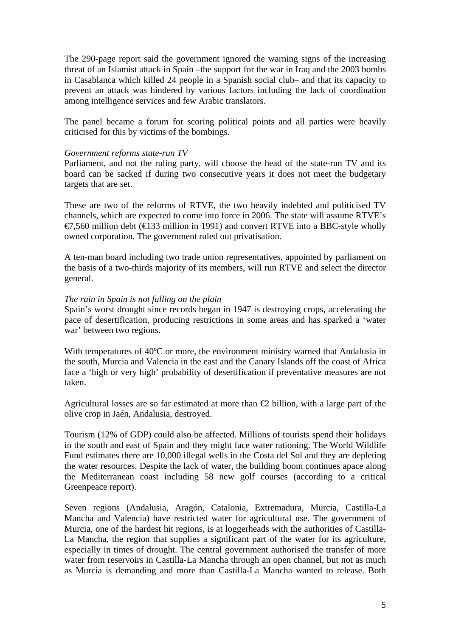The 290-page report said the government ignored the warning signs of the increasing threat of an Islamist attack in Spain –the support for the war in Iraq and the 2003 bombs in Casablanca which killed 24 people in a Spanish social club– and that its capacity to prevent an attack was hindered by various factors including the lack of coordination among intelligence services and few Arabic translators.

The panel became a forum for scoring political points and all parties were heavily criticised for this by victims of the bombings.

## *Government reforms state-run TV*

Parliament, and not the ruling party, will choose the head of the state-run TV and its board can be sacked if during two consecutive years it does not meet the budgetary targets that are set.

These are two of the reforms of RTVE, the two heavily indebted and politicised TV channels, which are expected to come into force in 2006. The state will assume RTVE's €7,560 million debt (€133 million in 1991) and convert RTVE into a BBC-style wholly owned corporation. The government ruled out privatisation.

A ten-man board including two trade union representatives, appointed by parliament on the basis of a two-thirds majority of its members, will run RTVE and select the director general.

## *The rain in Spain is not falling on the plain*

Spain's worst drought since records began in 1947 is destroying crops, accelerating the pace of desertification, producing restrictions in some areas and has sparked a 'water war' between two regions.

With temperatures of 40°C or more, the environment ministry warned that Andalusia in the south, Murcia and Valencia in the east and the Canary Islands off the coast of Africa face a 'high or very high' probability of desertification if preventative measures are not taken.

Agricultural losses are so far estimated at more than  $\epsilon$  billion, with a large part of the olive crop in Jaén, Andalusia, destroyed.

Tourism (12% of GDP) could also be affected. Millions of tourists spend their holidays in the south and east of Spain and they might face water rationing. The World Wildlife Fund estimates there are 10,000 illegal wells in the Costa del Sol and they are depleting the water resources. Despite the lack of water, the building boom continues apace along the Mediterranean coast including 58 new golf courses (according to a critical Greenpeace report).

Seven regions (Andalusia, Aragón, Catalonia, Extremadura, Murcia, Castilla-La Mancha and Valencia) have restricted water for agricultural use. The government of Murcia, one of the hardest hit regions, is at loggerheads with the authorities of Castilla-La Mancha, the region that supplies a significant part of the water for its agriculture, especially in times of drought. The central government authorised the transfer of more water from reservoirs in Castilla-La Mancha through an open channel, but not as much as Murcia is demanding and more than Castilla-La Mancha wanted to release. Both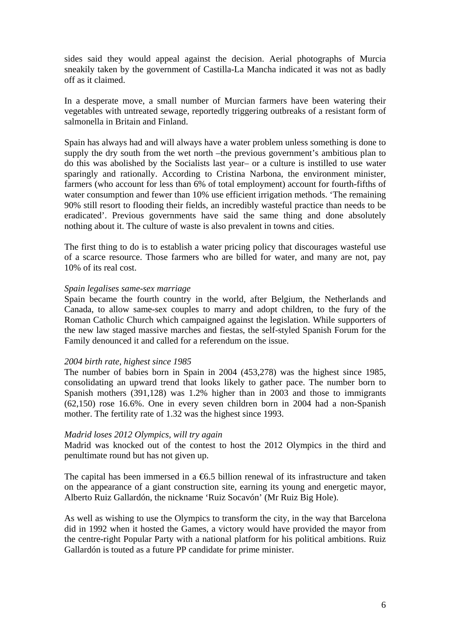sides said they would appeal against the decision. Aerial photographs of Murcia sneakily taken by the government of Castilla-La Mancha indicated it was not as badly off as it claimed.

In a desperate move, a small number of Murcian farmers have been watering their vegetables with untreated sewage, reportedly triggering outbreaks of a resistant form of salmonella in Britain and Finland.

Spain has always had and will always have a water problem unless something is done to supply the dry south from the wet north –the previous government's ambitious plan to do this was abolished by the Socialists last year– or a culture is instilled to use water sparingly and rationally. According to Cristina Narbona, the environment minister, farmers (who account for less than 6% of total employment) account for fourth-fifths of water consumption and fewer than 10% use efficient irrigation methods. 'The remaining 90% still resort to flooding their fields, an incredibly wasteful practice than needs to be eradicated'. Previous governments have said the same thing and done absolutely nothing about it. The culture of waste is also prevalent in towns and cities.

The first thing to do is to establish a water pricing policy that discourages wasteful use of a scarce resource. Those farmers who are billed for water, and many are not, pay 10% of its real cost.

#### *Spain legalises same-sex marriage*

Spain became the fourth country in the world, after Belgium, the Netherlands and Canada, to allow same-sex couples to marry and adopt children, to the fury of the Roman Catholic Church which campaigned against the legislation. While supporters of the new law staged massive marches and fiestas, the self-styled Spanish Forum for the Family denounced it and called for a referendum on the issue.

## *2004 birth rate, highest since 1985*

The number of babies born in Spain in 2004 (453,278) was the highest since 1985, consolidating an upward trend that looks likely to gather pace. The number born to Spanish mothers (391,128) was 1.2% higher than in 2003 and those to immigrants (62,150) rose 16.6%. One in every seven children born in 2004 had a non-Spanish mother. The fertility rate of 1.32 was the highest since 1993.

## *Madrid loses 2012 Olympics, will try again*

Madrid was knocked out of the contest to host the 2012 Olympics in the third and penultimate round but has not given up.

The capital has been immersed in a  $6.5$  billion renewal of its infrastructure and taken on the appearance of a giant construction site, earning its young and energetic mayor, Alberto Ruiz Gallardón, the nickname 'Ruiz Socavón' (Mr Ruiz Big Hole).

As well as wishing to use the Olympics to transform the city, in the way that Barcelona did in 1992 when it hosted the Games, a victory would have provided the mayor from the centre-right Popular Party with a national platform for his political ambitions. Ruiz Gallardón is touted as a future PP candidate for prime minister.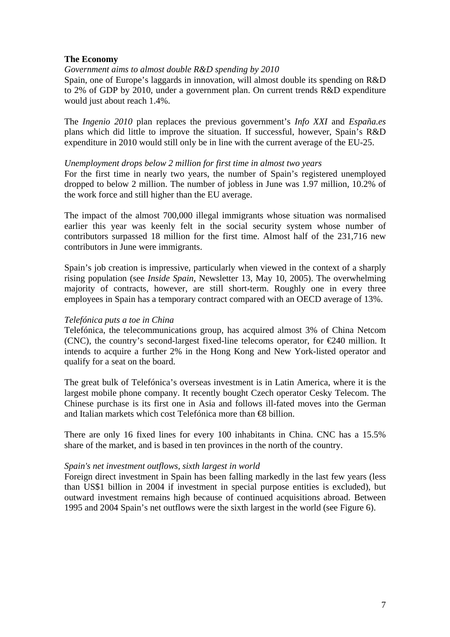## **The Economy**

## *Government aims to almost double R&D spending by 2010*

Spain, one of Europe's laggards in innovation, will almost double its spending on R&D to 2% of GDP by 2010, under a government plan. On current trends R&D expenditure would just about reach 1.4%.

The *Ingenio 2010* plan replaces the previous government's *Info XXI* and *España.es* plans which did little to improve the situation. If successful, however, Spain's R&D expenditure in 2010 would still only be in line with the current average of the EU-25.

#### *Unemployment drops below 2 million for first time in almost two years*

For the first time in nearly two years, the number of Spain's registered unemployed dropped to below 2 million. The number of jobless in June was 1.97 million, 10.2% of the work force and still higher than the EU average.

The impact of the almost 700,000 illegal immigrants whose situation was normalised earlier this year was keenly felt in the social security system whose number of contributors surpassed 18 million for the first time. Almost half of the 231,716 new contributors in June were immigrants.

Spain's job creation is impressive, particularly when viewed in the context of a sharply rising population (see *Inside Spain*, Newsletter 13, May 10, 2005). The overwhelming majority of contracts, however, are still short-term. Roughly one in every three employees in Spain has a temporary contract compared with an OECD average of 13%.

## *Telefónica puts a toe in China*

Telefónica, the telecommunications group, has acquired almost 3% of China Netcom (CNC), the country's second-largest fixed-line telecoms operator, for  $\epsilon$ 240 million. It intends to acquire a further 2% in the Hong Kong and New York-listed operator and qualify for a seat on the board.

The great bulk of Telefónica's overseas investment is in Latin America, where it is the largest mobile phone company. It recently bought Czech operator Cesky Telecom. The Chinese purchase is its first one in Asia and follows ill-fated moves into the German and Italian markets which cost Telefónica more than €8 billion.

There are only 16 fixed lines for every 100 inhabitants in China. CNC has a 15.5% share of the market, and is based in ten provinces in the north of the country.

## *Spain's net investment outflows, sixth largest in world*

Foreign direct investment in Spain has been falling markedly in the last few years (less than US\$1 billion in 2004 if investment in special purpose entities is excluded), but outward investment remains high because of continued acquisitions abroad. Between 1995 and 2004 Spain's net outflows were the sixth largest in the world (see Figure 6).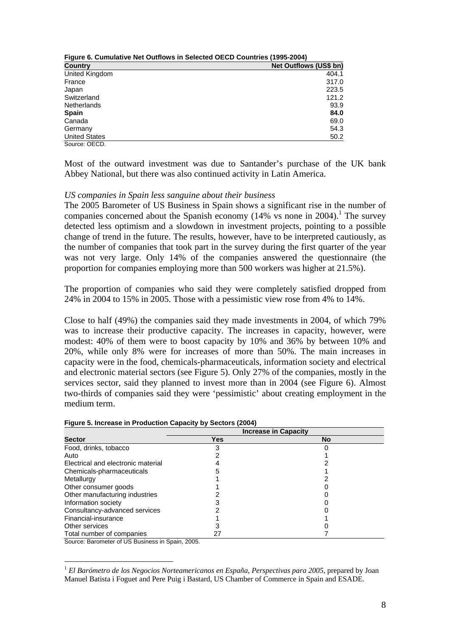| Figure 6. Cumulative Net Outflows in Selected OECD Countries (1995-2004) |                               |  |  |  |
|--------------------------------------------------------------------------|-------------------------------|--|--|--|
| <b>Country</b>                                                           | <b>Net Outflows (US\$ bn)</b> |  |  |  |
| United Kingdom                                                           | 404.1                         |  |  |  |
| France                                                                   | 317.0                         |  |  |  |
| Japan                                                                    | 223.5                         |  |  |  |
| Switzerland                                                              | 121.2                         |  |  |  |
| <b>Netherlands</b>                                                       | 93.9                          |  |  |  |
| <b>Spain</b>                                                             | 84.0                          |  |  |  |
| Canada                                                                   | 69.0                          |  |  |  |
| Germany                                                                  | 54.3                          |  |  |  |
| <b>United States</b>                                                     | 50.2                          |  |  |  |
| Source: OECD.                                                            |                               |  |  |  |

Most of the outward investment was due to Santander's purchase of the UK bank Abbey National, but there was also continued activity in Latin America.

#### *US companies in Spain less sanguine about their business*

The 2005 Barometer of US Business in Spain shows a significant rise in the number of companies concerned about the Spanish economy  $(14\% \text{ vs none in } 2004)$ .<sup>1</sup> The survey detected less optimism and a slowdown in investment projects, pointing to a possible change of trend in the future. The results, however, have to be interpreted cautiously, as the number of companies that took part in the survey during the first quarter of the year was not very large. Only 14% of the companies answered the questionnaire (the proportion for companies employing more than 500 workers was higher at 21.5%).

The proportion of companies who said they were completely satisfied dropped from 24% in 2004 to 15% in 2005. Those with a pessimistic view rose from 4% to 14%.

Close to half (49%) the companies said they made investments in 2004, of which 79% was to increase their productive capacity. The increases in capacity, however, were modest: 40% of them were to boost capacity by 10% and 36% by between 10% and 20%, while only 8% were for increases of more than 50%. The main increases in capacity were in the food, chemicals-pharmaceuticals, information society and electrical and electronic material sectors (see Figure 5). Only 27% of the companies, mostly in the services sector, said they planned to invest more than in 2004 (see Figure 6). Almost two-thirds of companies said they were 'pessimistic' about creating employment in the medium term.

|                                    |     | <b>Increase in Capacity</b> |
|------------------------------------|-----|-----------------------------|
| <b>Sector</b>                      | Yes | <b>No</b>                   |
| Food, drinks, tobacco              | 3   |                             |
| Auto                               |     |                             |
| Electrical and electronic material |     |                             |
| Chemicals-pharmaceuticals          |     |                             |
| Metallurgy                         |     |                             |
| Other consumer goods               |     |                             |
| Other manufacturing industries     |     |                             |
| Information society                |     |                             |
| Consultancy-advanced services      |     |                             |
| Financial-insurance                |     |                             |
| Other services                     |     |                             |
| Total number of companies          | 27  |                             |

#### **Figure 5. Increase in Production Capacity by Sectors (2004)**

Source: Barometer of US Business in Spain, 2005.

 $\overline{a}$ 

<sup>1</sup> *El Barómetro de los Negocios Norteamericanos en España*, *Perspectivas para 2005*, prepared by Joan Manuel Batista i Foguet and Pere Puig i Bastard, US Chamber of Commerce in Spain and ESADE.